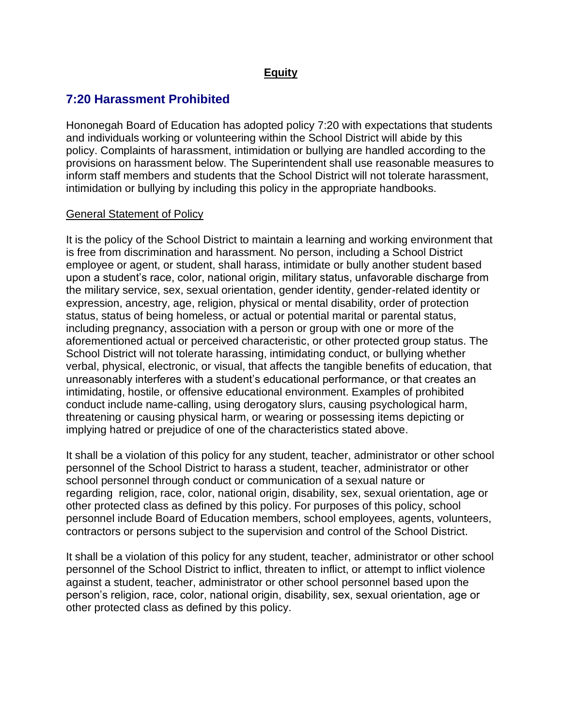## **Equity**

# **7:20 Harassment Prohibited**

Hononegah Board of Education has adopted policy 7:20 with expectations that students and individuals working or volunteering within the School District will abide by this policy. Complaints of harassment, intimidation or bullying are handled according to the provisions on harassment below. The Superintendent shall use reasonable measures to inform staff members and students that the School District will not tolerate harassment, intimidation or bullying by including this policy in the appropriate handbooks.

#### General Statement of Policy

It is the policy of the School District to maintain a learning and working environment that is free from discrimination and harassment. No person, including a School District employee or agent, or student, shall harass, intimidate or bully another student based upon a student's race, color, national origin, military status, unfavorable discharge from the military service, sex, sexual orientation, gender identity, gender-related identity or expression, ancestry, age, religion, physical or mental disability, order of protection status, status of being homeless, or actual or potential marital or parental status, including pregnancy, association with a person or group with one or more of the aforementioned actual or perceived characteristic, or other protected group status. The School District will not tolerate harassing, intimidating conduct, or bullying whether verbal, physical, electronic, or visual, that affects the tangible benefits of education, that unreasonably interferes with a student's educational performance, or that creates an intimidating, hostile, or offensive educational environment. Examples of prohibited conduct include name-calling, using derogatory slurs, causing psychological harm, threatening or causing physical harm, or wearing or possessing items depicting or implying hatred or prejudice of one of the characteristics stated above.

It shall be a violation of this policy for any student, teacher, administrator or other school personnel of the School District to harass a student, teacher, administrator or other school personnel through conduct or communication of a sexual nature or regarding religion, race, color, national origin, disability, sex, sexual orientation, age or other protected class as defined by this policy. For purposes of this policy, school personnel include Board of Education members, school employees, agents, volunteers, contractors or persons subject to the supervision and control of the School District.

It shall be a violation of this policy for any student, teacher, administrator or other school personnel of the School District to inflict, threaten to inflict, or attempt to inflict violence against a student, teacher, administrator or other school personnel based upon the person's religion, race, color, national origin, disability, sex, sexual orientation, age or other protected class as defined by this policy.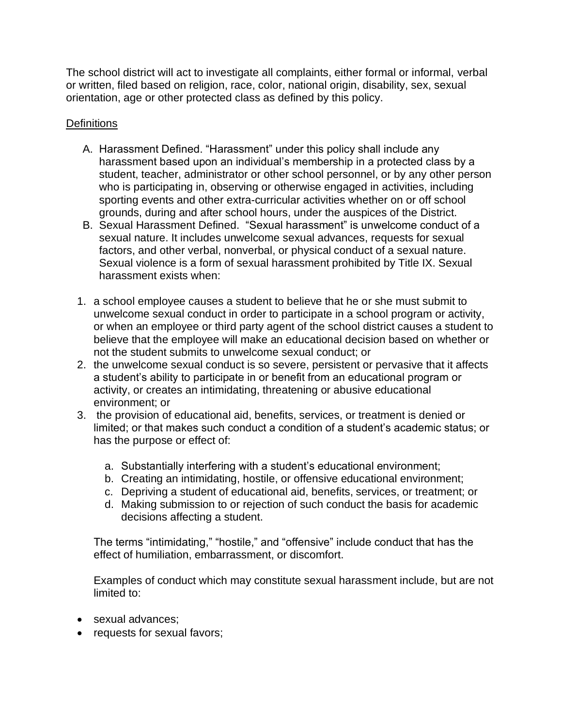The school district will act to investigate all complaints, either formal or informal, verbal or written, filed based on religion, race, color, national origin, disability, sex, sexual orientation, age or other protected class as defined by this policy.

## **Definitions**

- A. Harassment Defined. "Harassment" under this policy shall include any harassment based upon an individual's membership in a protected class by a student, teacher, administrator or other school personnel, or by any other person who is participating in, observing or otherwise engaged in activities, including sporting events and other extra-curricular activities whether on or off school grounds, during and after school hours, under the auspices of the District.
- B. Sexual Harassment Defined. "Sexual harassment" is unwelcome conduct of a sexual nature. It includes unwelcome sexual advances, requests for sexual factors, and other verbal, nonverbal, or physical conduct of a sexual nature. Sexual violence is a form of sexual harassment prohibited by Title IX. Sexual harassment exists when:
- 1. a school employee causes a student to believe that he or she must submit to unwelcome sexual conduct in order to participate in a school program or activity, or when an employee or third party agent of the school district causes a student to believe that the employee will make an educational decision based on whether or not the student submits to unwelcome sexual conduct; or
- 2. the unwelcome sexual conduct is so severe, persistent or pervasive that it affects a student's ability to participate in or benefit from an educational program or activity, or creates an intimidating, threatening or abusive educational environment; or
- 3. the provision of educational aid, benefits, services, or treatment is denied or limited; or that makes such conduct a condition of a student's academic status; or has the purpose or effect of:
	- a. Substantially interfering with a student's educational environment;
	- b. Creating an intimidating, hostile, or offensive educational environment;
	- c. Depriving a student of educational aid, benefits, services, or treatment; or
	- d. Making submission to or rejection of such conduct the basis for academic decisions affecting a student.

The terms "intimidating," "hostile," and "offensive" include conduct that has the effect of humiliation, embarrassment, or discomfort.

Examples of conduct which may constitute sexual harassment include, but are not limited to:

- sexual advances:
- requests for sexual favors;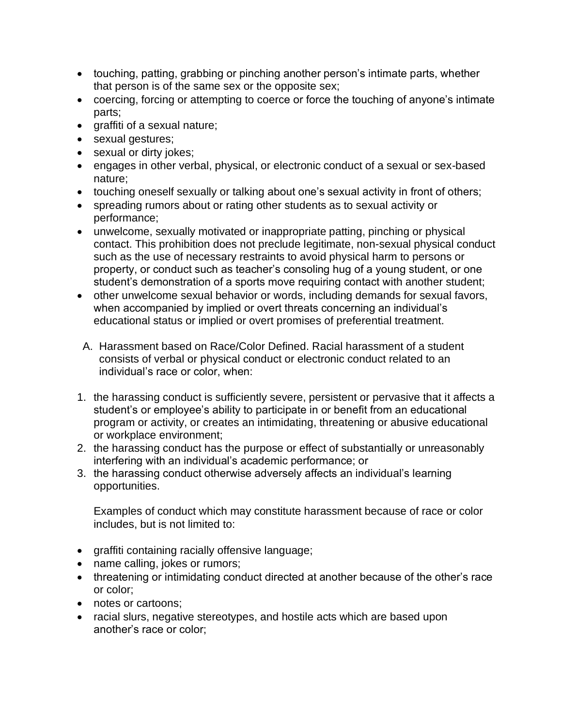- touching, patting, grabbing or pinching another person's intimate parts, whether that person is of the same sex or the opposite sex;
- coercing, forcing or attempting to coerce or force the touching of anyone's intimate parts;
- graffiti of a sexual nature;
- sexual gestures;
- sexual or dirty jokes;
- engages in other verbal, physical, or electronic conduct of a sexual or sex-based nature;
- touching oneself sexually or talking about one's sexual activity in front of others;
- spreading rumors about or rating other students as to sexual activity or performance;
- unwelcome, sexually motivated or inappropriate patting, pinching or physical contact. This prohibition does not preclude legitimate, non-sexual physical conduct such as the use of necessary restraints to avoid physical harm to persons or property, or conduct such as teacher's consoling hug of a young student, or one student's demonstration of a sports move requiring contact with another student;
- other unwelcome sexual behavior or words, including demands for sexual favors, when accompanied by implied or overt threats concerning an individual's educational status or implied or overt promises of preferential treatment.
- A. Harassment based on Race/Color Defined. Racial harassment of a student consists of verbal or physical conduct or electronic conduct related to an individual's race or color, when:
- 1. the harassing conduct is sufficiently severe, persistent or pervasive that it affects a student's or employee's ability to participate in or benefit from an educational program or activity, or creates an intimidating, threatening or abusive educational or workplace environment;
- 2. the harassing conduct has the purpose or effect of substantially or unreasonably interfering with an individual's academic performance; or
- 3. the harassing conduct otherwise adversely affects an individual's learning opportunities.

Examples of conduct which may constitute harassment because of race or color includes, but is not limited to:

- graffiti containing racially offensive language;
- name calling, jokes or rumors;
- threatening or intimidating conduct directed at another because of the other's race or color;
- notes or cartoons:
- racial slurs, negative stereotypes, and hostile acts which are based upon another's race or color;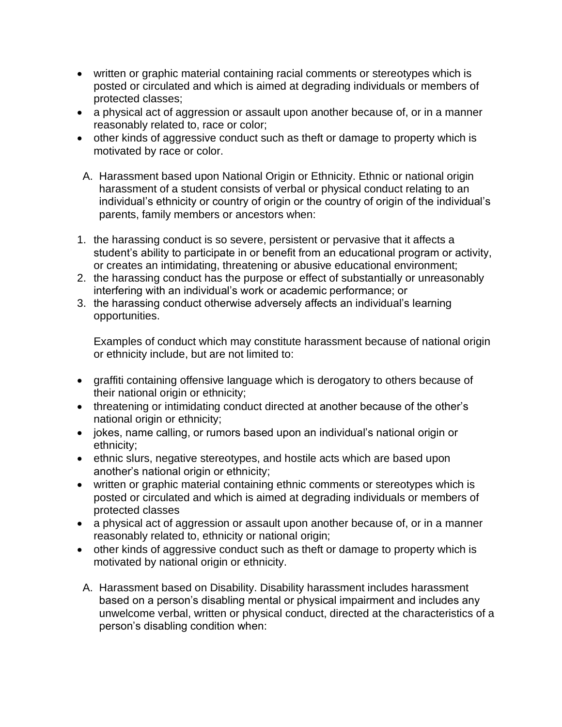- written or graphic material containing racial comments or stereotypes which is posted or circulated and which is aimed at degrading individuals or members of protected classes;
- a physical act of aggression or assault upon another because of, or in a manner reasonably related to, race or color;
- other kinds of aggressive conduct such as theft or damage to property which is motivated by race or color.
- A. Harassment based upon National Origin or Ethnicity. Ethnic or national origin harassment of a student consists of verbal or physical conduct relating to an individual's ethnicity or country of origin or the country of origin of the individual's parents, family members or ancestors when:
- 1. the harassing conduct is so severe, persistent or pervasive that it affects a student's ability to participate in or benefit from an educational program or activity, or creates an intimidating, threatening or abusive educational environment;
- 2. the harassing conduct has the purpose or effect of substantially or unreasonably interfering with an individual's work or academic performance; or
- 3. the harassing conduct otherwise adversely affects an individual's learning opportunities.

Examples of conduct which may constitute harassment because of national origin or ethnicity include, but are not limited to:

- graffiti containing offensive language which is derogatory to others because of their national origin or ethnicity;
- threatening or intimidating conduct directed at another because of the other's national origin or ethnicity;
- jokes, name calling, or rumors based upon an individual's national origin or ethnicity;
- ethnic slurs, negative stereotypes, and hostile acts which are based upon another's national origin or ethnicity;
- written or graphic material containing ethnic comments or stereotypes which is posted or circulated and which is aimed at degrading individuals or members of protected classes
- a physical act of aggression or assault upon another because of, or in a manner reasonably related to, ethnicity or national origin;
- other kinds of aggressive conduct such as theft or damage to property which is motivated by national origin or ethnicity.
- A. Harassment based on Disability. Disability harassment includes harassment based on a person's disabling mental or physical impairment and includes any unwelcome verbal, written or physical conduct, directed at the characteristics of a person's disabling condition when: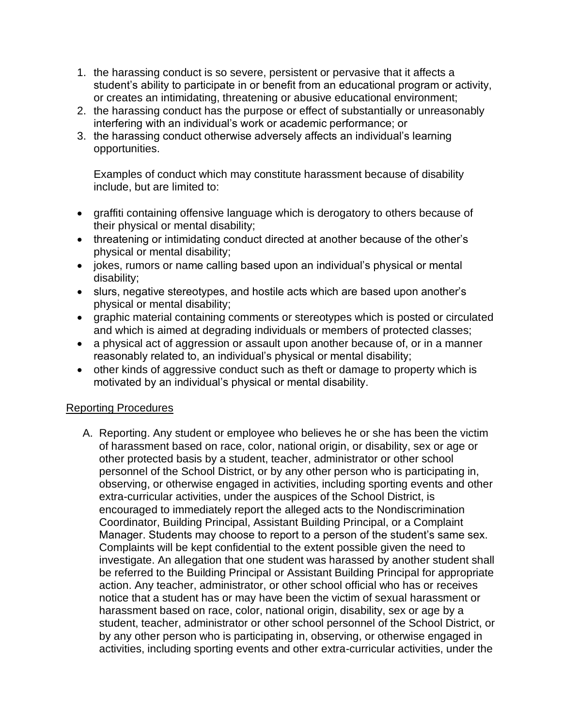- 1. the harassing conduct is so severe, persistent or pervasive that it affects a student's ability to participate in or benefit from an educational program or activity, or creates an intimidating, threatening or abusive educational environment;
- 2. the harassing conduct has the purpose or effect of substantially or unreasonably interfering with an individual's work or academic performance; or
- 3. the harassing conduct otherwise adversely affects an individual's learning opportunities.

Examples of conduct which may constitute harassment because of disability include, but are limited to:

- graffiti containing offensive language which is derogatory to others because of their physical or mental disability;
- threatening or intimidating conduct directed at another because of the other's physical or mental disability;
- jokes, rumors or name calling based upon an individual's physical or mental disability;
- slurs, negative stereotypes, and hostile acts which are based upon another's physical or mental disability;
- graphic material containing comments or stereotypes which is posted or circulated and which is aimed at degrading individuals or members of protected classes;
- a physical act of aggression or assault upon another because of, or in a manner reasonably related to, an individual's physical or mental disability;
- other kinds of aggressive conduct such as theft or damage to property which is motivated by an individual's physical or mental disability.

## Reporting Procedures

A. Reporting. Any student or employee who believes he or she has been the victim of harassment based on race, color, national origin, or disability, sex or age or other protected basis by a student, teacher, administrator or other school personnel of the School District, or by any other person who is participating in, observing, or otherwise engaged in activities, including sporting events and other extra-curricular activities, under the auspices of the School District, is encouraged to immediately report the alleged acts to the Nondiscrimination Coordinator, Building Principal, Assistant Building Principal, or a Complaint Manager. Students may choose to report to a person of the student's same sex. Complaints will be kept confidential to the extent possible given the need to investigate. An allegation that one student was harassed by another student shall be referred to the Building Principal or Assistant Building Principal for appropriate action. Any teacher, administrator, or other school official who has or receives notice that a student has or may have been the victim of sexual harassment or harassment based on race, color, national origin, disability, sex or age by a student, teacher, administrator or other school personnel of the School District, or by any other person who is participating in, observing, or otherwise engaged in activities, including sporting events and other extra-curricular activities, under the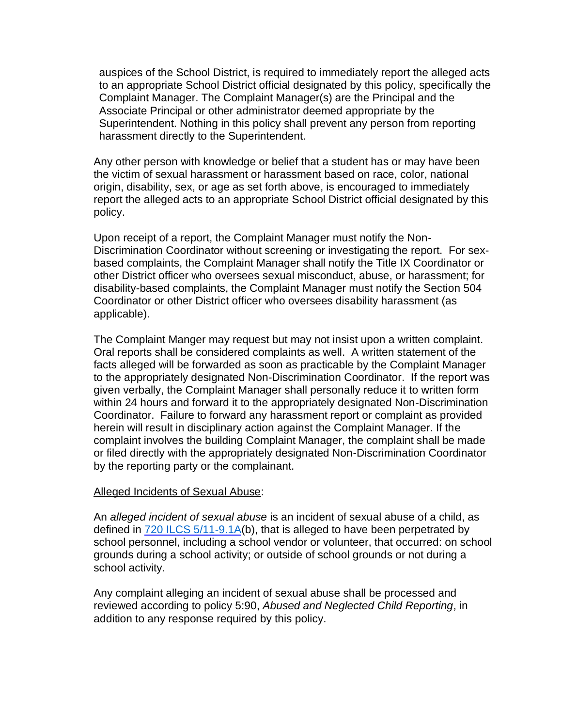auspices of the School District, is required to immediately report the alleged acts to an appropriate School District official designated by this policy, specifically the Complaint Manager. The Complaint Manager(s) are the Principal and the Associate Principal or other administrator deemed appropriate by the Superintendent. Nothing in this policy shall prevent any person from reporting harassment directly to the Superintendent.

Any other person with knowledge or belief that a student has or may have been the victim of sexual harassment or harassment based on race, color, national origin, disability, sex, or age as set forth above, is encouraged to immediately report the alleged acts to an appropriate School District official designated by this policy.

Upon receipt of a report, the Complaint Manager must notify the Non-Discrimination Coordinator without screening or investigating the report. For sexbased complaints, the Complaint Manager shall notify the Title IX Coordinator or other District officer who oversees sexual misconduct, abuse, or harassment; for disability-based complaints, the Complaint Manager must notify the Section 504 Coordinator or other District officer who oversees disability harassment (as applicable).

The Complaint Manger may request but may not insist upon a written complaint. Oral reports shall be considered complaints as well. A written statement of the facts alleged will be forwarded as soon as practicable by the Complaint Manager to the appropriately designated Non-Discrimination Coordinator. If the report was given verbally, the Complaint Manager shall personally reduce it to written form within 24 hours and forward it to the appropriately designated Non-Discrimination Coordinator. Failure to forward any harassment report or complaint as provided herein will result in disciplinary action against the Complaint Manager. If the complaint involves the building Complaint Manager, the complaint shall be made or filed directly with the appropriately designated Non-Discrimination Coordinator by the reporting party or the complainant.

#### Alleged Incidents of Sexual Abuse:

An *alleged incident of sexual abuse* is an incident of sexual abuse of a child, as defined in  $720$  ILCS  $5/11-9.1A(b)$ , that is alleged to have been perpetrated by school personnel, including a school vendor or volunteer, that occurred: on school grounds during a school activity; or outside of school grounds or not during a school activity.

Any complaint alleging an incident of sexual abuse shall be processed and reviewed according to policy 5:90, *Abused and Neglected Child Reporting*, in addition to any response required by this policy.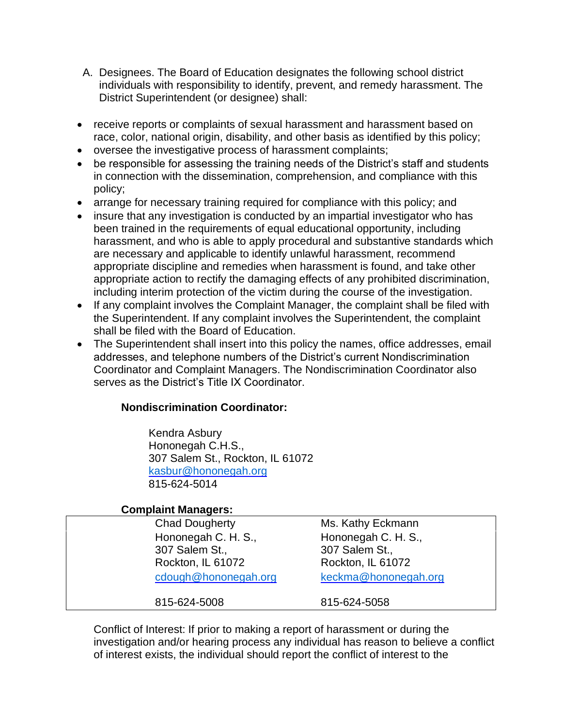- A. Designees. The Board of Education designates the following school district individuals with responsibility to identify, prevent, and remedy harassment. The District Superintendent (or designee) shall:
- receive reports or complaints of sexual harassment and harassment based on race, color, national origin, disability, and other basis as identified by this policy;
- oversee the investigative process of harassment complaints;
- be responsible for assessing the training needs of the District's staff and students in connection with the dissemination, comprehension, and compliance with this policy;
- arrange for necessary training required for compliance with this policy; and
- insure that any investigation is conducted by an impartial investigator who has been trained in the requirements of equal educational opportunity, including harassment, and who is able to apply procedural and substantive standards which are necessary and applicable to identify unlawful harassment, recommend appropriate discipline and remedies when harassment is found, and take other appropriate action to rectify the damaging effects of any prohibited discrimination, including interim protection of the victim during the course of the investigation.
- If any complaint involves the Complaint Manager, the complaint shall be filed with the Superintendent. If any complaint involves the Superintendent, the complaint shall be filed with the Board of Education.
- The Superintendent shall insert into this policy the names, office addresses, email addresses, and telephone numbers of the District's current Nondiscrimination Coordinator and Complaint Managers. The Nondiscrimination Coordinator also serves as the District's Title IX Coordinator.

## **Nondiscrimination Coordinator:**

Kendra Asbury Hononegah C.H.S., 307 Salem St., Rockton, IL 61072 [kasbur@hononegah.org](mailto:kasbur@hononegah.org) 815-624-5014

### **Complaint Managers:**

| <b>Chad Dougherty</b><br>Hononegah C. H. S., | Ms. Kathy Eckmann<br>Hononegah C. H. S., |
|----------------------------------------------|------------------------------------------|
| 307 Salem St.,<br>Rockton, IL 61072          | 307 Salem St.,<br>Rockton, IL 61072      |
| cdough@hononegah.org<br>815-624-5008         | keckma@hononegah.org<br>815-624-5058     |

Conflict of Interest: If prior to making a report of harassment or during the investigation and/or hearing process any individual has reason to believe a conflict of interest exists, the individual should report the conflict of interest to the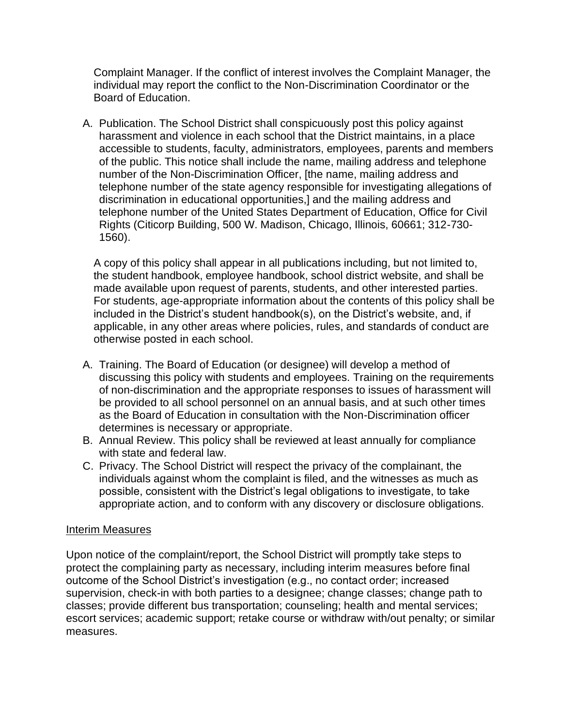Complaint Manager. If the conflict of interest involves the Complaint Manager, the individual may report the conflict to the Non-Discrimination Coordinator or the Board of Education.

A. Publication. The School District shall conspicuously post this policy against harassment and violence in each school that the District maintains, in a place accessible to students, faculty, administrators, employees, parents and members of the public. This notice shall include the name, mailing address and telephone number of the Non-Discrimination Officer, [the name, mailing address and telephone number of the state agency responsible for investigating allegations of discrimination in educational opportunities,] and the mailing address and telephone number of the United States Department of Education, Office for Civil Rights (Citicorp Building, 500 W. Madison, Chicago, Illinois, 60661; 312-730- 1560).

A copy of this policy shall appear in all publications including, but not limited to, the student handbook, employee handbook, school district website, and shall be made available upon request of parents, students, and other interested parties. For students, age-appropriate information about the contents of this policy shall be included in the District's student handbook(s), on the District's website, and, if applicable, in any other areas where policies, rules, and standards of conduct are otherwise posted in each school.

- A. Training. The Board of Education (or designee) will develop a method of discussing this policy with students and employees. Training on the requirements of non-discrimination and the appropriate responses to issues of harassment will be provided to all school personnel on an annual basis, and at such other times as the Board of Education in consultation with the Non-Discrimination officer determines is necessary or appropriate.
- B. Annual Review. This policy shall be reviewed at least annually for compliance with state and federal law.
- C. Privacy. The School District will respect the privacy of the complainant, the individuals against whom the complaint is filed, and the witnesses as much as possible, consistent with the District's legal obligations to investigate, to take appropriate action, and to conform with any discovery or disclosure obligations.

### Interim Measures

Upon notice of the complaint/report, the School District will promptly take steps to protect the complaining party as necessary, including interim measures before final outcome of the School District's investigation (e.g., no contact order; increased supervision, check-in with both parties to a designee; change classes; change path to classes; provide different bus transportation; counseling; health and mental services; escort services; academic support; retake course or withdraw with/out penalty; or similar measures.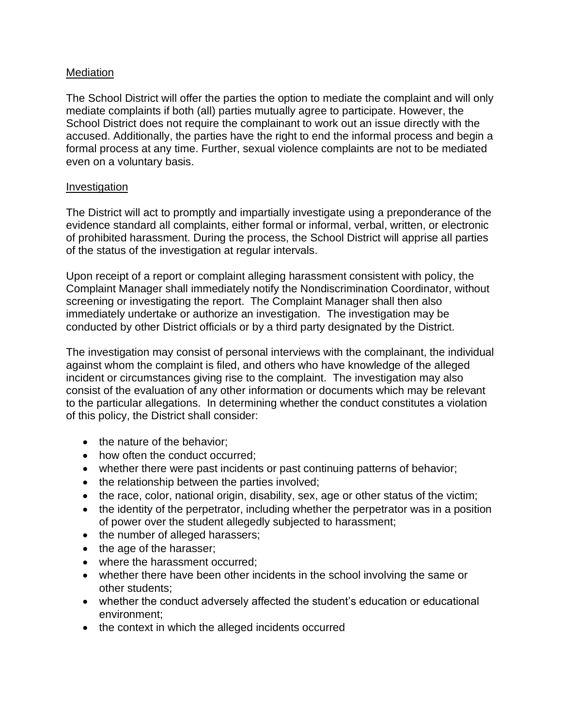## **Mediation**

The School District will offer the parties the option to mediate the complaint and will only mediate complaints if both (all) parties mutually agree to participate. However, the School District does not require the complainant to work out an issue directly with the accused. Additionally, the parties have the right to end the informal process and begin a formal process at any time. Further, sexual violence complaints are not to be mediated even on a voluntary basis.

#### Investigation

The District will act to promptly and impartially investigate using a preponderance of the evidence standard all complaints, either formal or informal, verbal, written, or electronic of prohibited harassment. During the process, the School District will apprise all parties of the status of the investigation at regular intervals.

Upon receipt of a report or complaint alleging harassment consistent with policy, the Complaint Manager shall immediately notify the Nondiscrimination Coordinator, without screening or investigating the report. The Complaint Manager shall then also immediately undertake or authorize an investigation. The investigation may be conducted by other District officials or by a third party designated by the District.

The investigation may consist of personal interviews with the complainant, the individual against whom the complaint is filed, and others who have knowledge of the alleged incident or circumstances giving rise to the complaint. The investigation may also consist of the evaluation of any other information or documents which may be relevant to the particular allegations. In determining whether the conduct constitutes a violation of this policy, the District shall consider:

- the nature of the behavior:
- how often the conduct occurred:
- whether there were past incidents or past continuing patterns of behavior;
- the relationship between the parties involved;
- the race, color, national origin, disability, sex, age or other status of the victim;
- the identity of the perpetrator, including whether the perpetrator was in a position of power over the student allegedly subjected to harassment;
- the number of alleged harassers;
- the age of the harasser;
- where the harassment occurred;
- whether there have been other incidents in the school involving the same or other students;
- whether the conduct adversely affected the student's education or educational environment;
- the context in which the alleged incidents occurred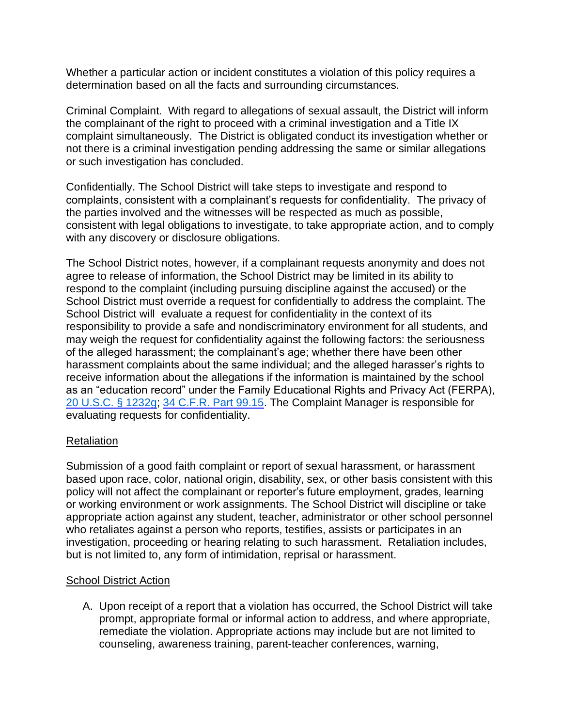Whether a particular action or incident constitutes a violation of this policy requires a determination based on all the facts and surrounding circumstances.

Criminal Complaint. With regard to allegations of sexual assault, the District will inform the complainant of the right to proceed with a criminal investigation and a Title IX complaint simultaneously. The District is obligated conduct its investigation whether or not there is a criminal investigation pending addressing the same or similar allegations or such investigation has concluded.

Confidentially. The School District will take steps to investigate and respond to complaints, consistent with a complainant's requests for confidentiality. The privacy of the parties involved and the witnesses will be respected as much as possible, consistent with legal obligations to investigate, to take appropriate action, and to comply with any discovery or disclosure obligations.

The School District notes, however, if a complainant requests anonymity and does not agree to release of information, the School District may be limited in its ability to respond to the complaint (including pursuing discipline against the accused) or the School District must override a request for confidentially to address the complaint. The School District will evaluate a request for confidentiality in the context of its responsibility to provide a safe and nondiscriminatory environment for all students, and may weigh the request for confidentiality against the following factors: the seriousness of the alleged harassment; the complainant's age; whether there have been other harassment complaints about the same individual; and the alleged harasser's rights to receive information about the allegations if the information is maintained by the school as an "education record" under the Family Educational Rights and Privacy Act (FERPA), [20 U.S.C. § 1232g;](http://redirector.microscribepub.com/?cat=usc&loc=us&id=20-1232g&) [34 C.F.R. Part 99.15.](http://redirector.microscribepub.com/?cat=cfr&loc=us&id=34&spec=99) The Complaint Manager is responsible for evaluating requests for confidentiality.

### **Retaliation**

Submission of a good faith complaint or report of sexual harassment, or harassment based upon race, color, national origin, disability, sex, or other basis consistent with this policy will not affect the complainant or reporter's future employment, grades, learning or working environment or work assignments. The School District will discipline or take appropriate action against any student, teacher, administrator or other school personnel who retaliates against a person who reports, testifies, assists or participates in an investigation, proceeding or hearing relating to such harassment. Retaliation includes, but is not limited to, any form of intimidation, reprisal or harassment.

#### School District Action

A. Upon receipt of a report that a violation has occurred, the School District will take prompt, appropriate formal or informal action to address, and where appropriate, remediate the violation. Appropriate actions may include but are not limited to counseling, awareness training, parent-teacher conferences, warning,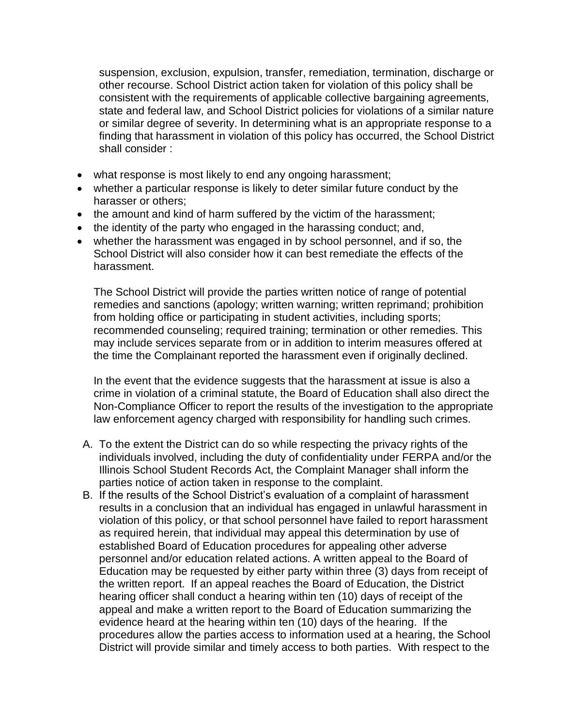suspension, exclusion, expulsion, transfer, remediation, termination, discharge or other recourse. School District action taken for violation of this policy shall be consistent with the requirements of applicable collective bargaining agreements, state and federal law, and School District policies for violations of a similar nature or similar degree of severity. In determining what is an appropriate response to a finding that harassment in violation of this policy has occurred, the School District shall consider :

- what response is most likely to end any ongoing harassment;
- whether a particular response is likely to deter similar future conduct by the harasser or others;
- the amount and kind of harm suffered by the victim of the harassment;
- the identity of the party who engaged in the harassing conduct; and,
- whether the harassment was engaged in by school personnel, and if so, the School District will also consider how it can best remediate the effects of the harassment.

The School District will provide the parties written notice of range of potential remedies and sanctions (apology; written warning; written reprimand; prohibition from holding office or participating in student activities, including sports; recommended counseling; required training; termination or other remedies. This may include services separate from or in addition to interim measures offered at the time the Complainant reported the harassment even if originally declined.

In the event that the evidence suggests that the harassment at issue is also a crime in violation of a criminal statute, the Board of Education shall also direct the Non-Compliance Officer to report the results of the investigation to the appropriate law enforcement agency charged with responsibility for handling such crimes.

- A. To the extent the District can do so while respecting the privacy rights of the individuals involved, including the duty of confidentiality under FERPA and/or the Illinois School Student Records Act, the Complaint Manager shall inform the parties notice of action taken in response to the complaint.
- B. If the results of the School District's evaluation of a complaint of harassment results in a conclusion that an individual has engaged in unlawful harassment in violation of this policy, or that school personnel have failed to report harassment as required herein, that individual may appeal this determination by use of established Board of Education procedures for appealing other adverse personnel and/or education related actions. A written appeal to the Board of Education may be requested by either party within three (3) days from receipt of the written report. If an appeal reaches the Board of Education, the District hearing officer shall conduct a hearing within ten (10) days of receipt of the appeal and make a written report to the Board of Education summarizing the evidence heard at the hearing within ten (10) days of the hearing. If the procedures allow the parties access to information used at a hearing, the School District will provide similar and timely access to both parties. With respect to the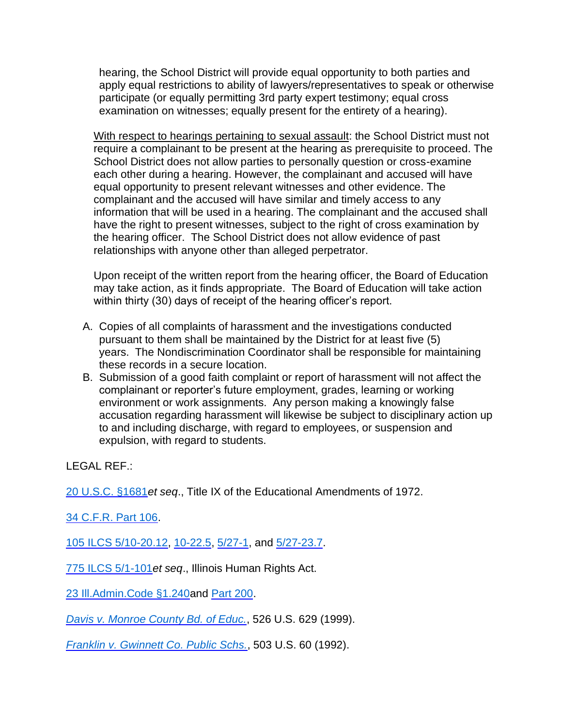hearing, the School District will provide equal opportunity to both parties and apply equal restrictions to ability of lawyers/representatives to speak or otherwise participate (or equally permitting 3rd party expert testimony; equal cross examination on witnesses; equally present for the entirety of a hearing).

With respect to hearings pertaining to sexual assault: the School District must not require a complainant to be present at the hearing as prerequisite to proceed. The School District does not allow parties to personally question or cross-examine each other during a hearing. However, the complainant and accused will have equal opportunity to present relevant witnesses and other evidence. The complainant and the accused will have similar and timely access to any information that will be used in a hearing. The complainant and the accused shall have the right to present witnesses, subject to the right of cross examination by the hearing officer. The School District does not allow evidence of past relationships with anyone other than alleged perpetrator.

Upon receipt of the written report from the hearing officer, the Board of Education may take action, as it finds appropriate. The Board of Education will take action within thirty (30) days of receipt of the hearing officer's report.

- A. Copies of all complaints of harassment and the investigations conducted pursuant to them shall be maintained by the District for at least five (5) years. The Nondiscrimination Coordinator shall be responsible for maintaining these records in a secure location.
- B. Submission of a good faith complaint or report of harassment will not affect the complainant or reporter's future employment, grades, learning or working environment or work assignments. Any person making a knowingly false accusation regarding harassment will likewise be subject to disciplinary action up to and including discharge, with regard to employees, or suspension and expulsion, with regard to students.

LEGAL REF.:

[20 U.S.C. §1681](http://redirector.microscribepub.com/?cat=usc&loc=us&id=20-1681&)*et seq*., Title IX of the Educational Amendments of 1972.

[34 C.F.R. Part 106.](http://redirector.microscribepub.com/?cat=cfr&loc=us&id=34&spec=106)

[105 ILCS 5/10-20.12, 10-22.5,](http://redirector.microscribepub.com/?cat=stat&loc=il&id=105&spec=5-10) [5/27-1,](http://redirector.microscribepub.com/?cat=stat&loc=il&id=105&spec=5-27) and [5/27-23.7.](http://redirector.microscribepub.com/?cat=stat&loc=il&id=105&spec=5-27)

[775 ILCS 5/1-101](http://redirector.microscribepub.com/?cat=stat&loc=il&id=775&spec=5-1)*et seq*., Illinois Human Rights Act.

[23 Ill.Admin.Code §1.240a](http://redirector.microscribepub.com/?cat=code&loc=il&id=23&spec=1.240)nd [Part 200.](http://redirector.microscribepub.com/?cat=code&loc=il&id=23&spec=200)

*[Davis v. Monroe County Bd. of Educ.](http://redirector.microscribepub.com/?cat=case&loc=us&id=040&)*, 526 U.S. 629 (1999).

*[Franklin v. Gwinnett Co. Public Schs.](http://redirector.microscribepub.com/?cat=case&loc=us&id=052&)*, 503 U.S. 60 (1992).